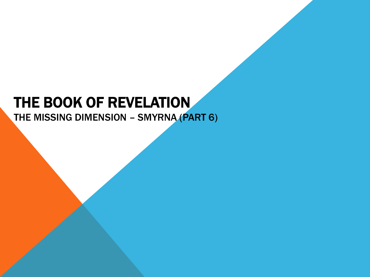# THE BOOK OF REVELATION

THE MISSING DIMENSION – SMYRNA (PART 6)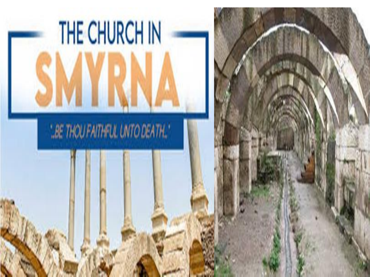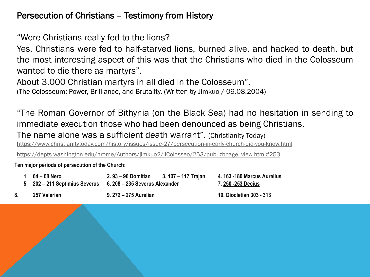# Persecution of Christians – Testimony from History

"Were Christians really fed to the lions?

Yes, Christians were fed to half-starved lions, burned alive, and hacked to death, but the most interesting aspect of this was that the Christians who died in the Colosseum wanted to die there as martyrs".

About 3,000 Christian martyrs in all died in the Colosseum".

(The Colosseum: Power, Brilliance, and Brutality. (Written by Jimkuo / 09.08.2004)

"The Roman Governor of Bithynia (on the Black Sea) had no hesitation in sending to immediate execution those who had been denounced as being Christians.

The name alone was a sufficient death warrant". (Christianity Today)

<https://www.christianitytoday.com/history/issues/issue-27/persecution-in-early-church-did-you-know.html>

[https://depts.washington.edu/hrome/Authors/jimkuo2/IlColosseo/253/pub\\_zbpage\\_view.html#253](https://depts.washington.edu/hrome/Authors/jimkuo2/IlColosseo/253/pub_zbpage_view.html#253)

**Ten major periods of persecution of the Church:**

|  | 1. 64 – 68 Nero | 2. 93 – 96 Domitian 3. 107 – 117 Trajan                       |  | 4.163 -180 Marcus Aurelius |
|--|-----------------|---------------------------------------------------------------|--|----------------------------|
|  |                 | 5. 202 – 211 Septimius Severus 6. 208 – 235 Severus Alexander |  | 7. 250 -253 Decius         |
|  | 257 Valerian    | 9. 272 – 275 Aurelian                                         |  | 10. Diocletian 303 - 313   |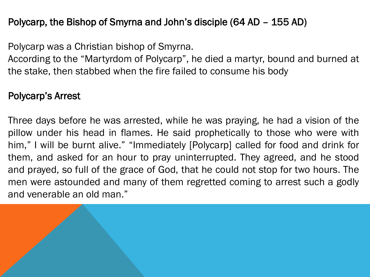# Polycarp, the Bishop of Smyrna and John's disciple (64 AD – 155 AD)

Polycarp was a Christian bishop of Smyrna.

According to the "Martyrdom of Polycarp", he died a martyr, bound and burned at the stake, then stabbed when the fire failed to consume his body

# Polycarp's Arrest

Three days before he was arrested, while he was praying, he had a vision of the pillow under his head in flames. He said prophetically to those who were with him," I will be burnt alive." "Immediately [Polycarp] called for food and drink for them, and asked for an hour to pray uninterrupted. They agreed, and he stood and prayed, so full of the grace of God, that he could not stop for two hours. The men were astounded and many of them regretted coming to arrest such a godly and venerable an old man."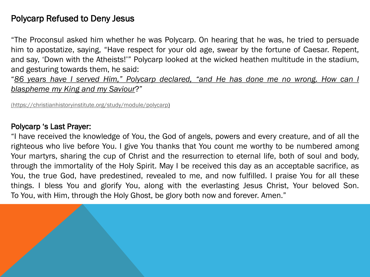# Polycarp Refused to Deny Jesus

"The Proconsul asked him whether he was Polycarp. On hearing that he was, he tried to persuade him to apostatize, saying, "Have respect for your old age, swear by the fortune of Caesar. Repent, and say, 'Down with the Atheists!'" Polycarp looked at the wicked heathen multitude in the stadium, and gesturing towards them, he said:

"*86 years have I served Him," Polycarp declared, "and He has done me no wrong. How can I blaspheme my King and my Saviour*?"

[\(https://christianhistoryinstitute.org/study/module/polycarp](https://christianhistoryinstitute.org/study/module/polycarp))

#### Polycarp 's Last Prayer:

"I have received the knowledge of You, the God of angels, powers and every creature, and of all the righteous who live before You. I give You thanks that You count me worthy to be numbered among Your martyrs, sharing the cup of Christ and the resurrection to eternal life, both of soul and body, through the immortality of the Holy Spirit. May I be received this day as an acceptable sacrifice, as You, the true God, have predestined, revealed to me, and now fulfilled. I praise You for all these things. I bless You and glorify You, along with the everlasting Jesus Christ, Your beloved Son. To You, with Him, through the Holy Ghost, be glory both now and forever. Amen."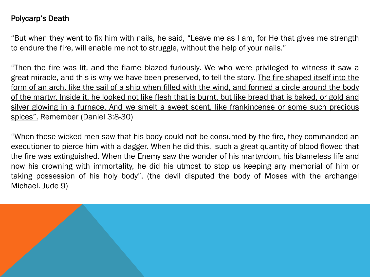#### Polycarp's Death

"But when they went to fix him with nails, he said, "Leave me as I am, for He that gives me strength to endure the fire, will enable me not to struggle, without the help of your nails."

"Then the fire was lit, and the flame blazed furiously. We who were privileged to witness it saw a great miracle, and this is why we have been preserved, to tell the story. The fire shaped itself into the form of an arch, like the sail of a ship when filled with the wind, and formed a circle around the body of the martyr. Inside it, he looked not like flesh that is burnt, but like bread that is baked, or gold and silver glowing in a furnace. And we smelt a sweet scent, like frankincense or some such precious spices". Remember (Daniel 3:8-30)

"When those wicked men saw that his body could not be consumed by the fire, they commanded an executioner to pierce him with a dagger. When he did this, such a great quantity of blood flowed that the fire was extinguished. When the Enemy saw the wonder of his martyrdom, his blameless life and now his crowning with immortality, he did his utmost to stop us keeping any memorial of him or taking possession of his holy body". (the devil disputed the body of Moses with the archangel Michael. Jude 9)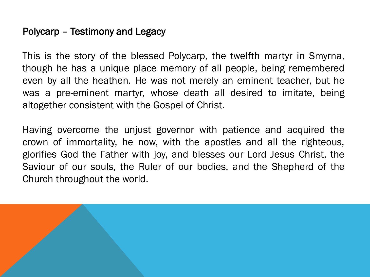# Polycarp – Testimony and Legacy

This is the story of the blessed Polycarp, the twelfth martyr in Smyrna, though he has a unique place memory of all people, being remembered even by all the heathen. He was not merely an eminent teacher, but he was a pre-eminent martyr, whose death all desired to imitate, being altogether consistent with the Gospel of Christ.

Having overcome the unjust governor with patience and acquired the crown of immortality, he now, with the apostles and all the righteous, glorifies God the Father with joy, and blesses our Lord Jesus Christ, the Saviour of our souls, the Ruler of our bodies, and the Shepherd of the Church throughout the world.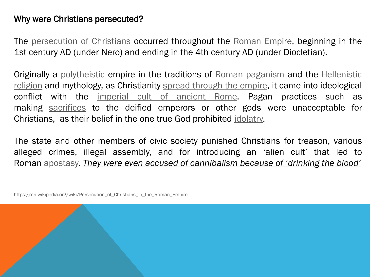### Why were Christians persecuted?

The [persecution](https://en.wikipedia.org/wiki/Persecution_of_Christians) of Christians occurred throughout the [Roman](https://en.wikipedia.org/wiki/Roman_Empire) Empire, beginning in the 1st century AD (under Nero) and ending in the 4th century AD (under Diocletian).

Originally a [polytheistic](https://en.wikipedia.org/wiki/Polytheism) empire in the traditions of Roman [paganism](https://en.wikipedia.org/wiki/Roman_paganism) and the Hellenistic religion and mythology, as [Christianity](https://en.wikipedia.org/wiki/Hellenistic_religion) spread [through](https://en.wikipedia.org/wiki/Christianization_of_the_Roman_Empire) the empire, it came into ideological conflict with the [imperial](https://en.wikipedia.org/wiki/Imperial_cult_of_ancient_Rome) cult of ancient Rome. Pagan practices such as making [sacrifices](https://en.wikipedia.org/wiki/Sacrifice) to the deified emperors or other gods were unacceptable for Christians, as their belief in the one true God prohibited [idolatry.](https://en.wikipedia.org/wiki/Idolatry)

The state and other members of civic society punished Christians for treason, various alleged crimes, illegal assembly, and for introducing an 'alien cult' that led to Roman [apostasy.](https://en.wikipedia.org/wiki/Apostasy) *They were even accused of cannibalism because of 'drinking the blood'*

[https://en.wikipedia.org/wiki/Persecution\\_of\\_Christians\\_in\\_the\\_Roman\\_Empire](https://en.wikipedia.org/wiki/Persecution_of_Christians_in_the_Roman_Empire)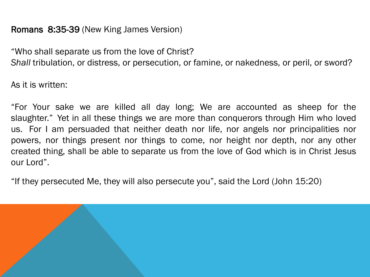# Romans 8:35-39 (New King James Version)

"Who shall separate us from the love of Christ? *Shall* tribulation, or distress, or persecution, or famine, or nakedness, or peril, or sword?

As it is written:

"For Your sake we are killed all day long; We are accounted as sheep for the slaughter." Yet in all these things we are more than conquerors through Him who loved us. For I am persuaded that neither death nor life, nor angels nor principalities nor powers, nor things present nor things to come, nor height nor depth, nor any other created thing, shall be able to separate us from the love of God which is in Christ Jesus our Lord".

"If they persecuted Me, they will also persecute you", said the Lord (John 15:20)

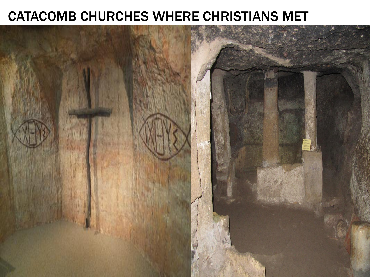# CATACOMB CHURCHES WHERE CHRISTIANS MET